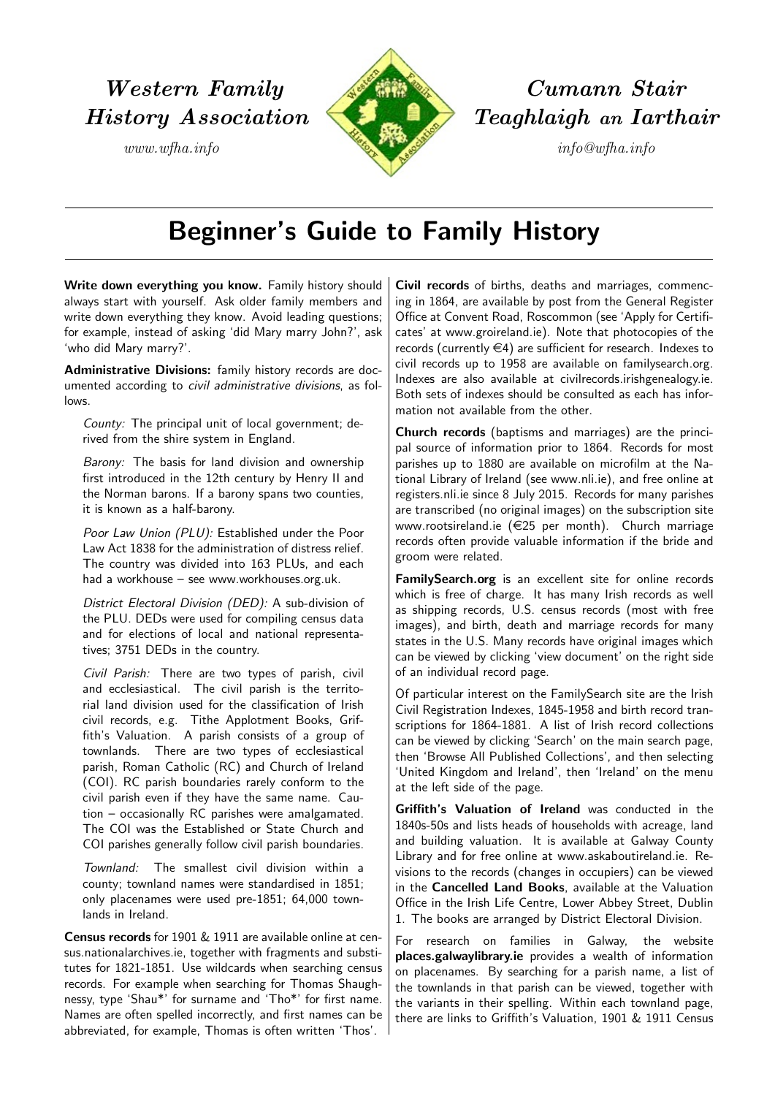

Western Family **Cumann Stair** History Association Teaghlaigh an Iarthair

## Beginner's Guide to Family History

Write down everything you know. Family history should always start with yourself. Ask older family members and write down everything they know. Avoid leading questions; for example, instead of asking 'did Mary marry John?', ask 'who did Mary marry?'.

Administrative Divisions: family history records are documented according to civil administrative divisions, as follows.

County: The principal unit of local government; derived from the shire system in England.

Barony: The basis for land division and ownership first introduced in the 12th century by Henry II and the Norman barons. If a barony spans two counties, it is known as a half-barony.

Poor Law Union (PLU): Established under the Poor Law Act 1838 for the administration of distress relief. The country was divided into 163 PLUs, and each had a workhouse – see [www.workhouses.org.uk.](http://www.workhouses.org.uk/)

District Electoral Division (DED): A sub-division of the PLU. DEDs were used for compiling census data and for elections of local and national representatives; 3751 DEDs in the country.

Civil Parish: There are two types of parish, civil and ecclesiastical. The civil parish is the territorial land division used for the classification of Irish civil records, e.g. Tithe Applotment Books, Griffith's Valuation. A parish consists of a group of townlands. There are two types of ecclesiastical parish, Roman Catholic (RC) and Church of Ireland (COI). RC parish boundaries rarely conform to the civil parish even if they have the same name. Caution – occasionally RC parishes were amalgamated. The COI was the Established or State Church and COI parishes generally follow civil parish boundaries.

Townland: The smallest civil division within a county; townland names were standardised in 1851; only placenames were used pre-1851; 64,000 townlands in Ireland.

Census records for 1901 & 1911 are available online at [cen](http://www.census.nationalarchives.ie/)[sus.nationalarchives.ie,](http://www.census.nationalarchives.ie/) together with fragments and substitutes for 1821-1851. Use wildcards when searching census records. For example when searching for Thomas Shaughnessy, type 'Shau\*' for surname and 'Tho\*' for first name. Names are often spelled incorrectly, and first names can be abbreviated, for example, Thomas is often written 'Thos'.

Civil records of births, deaths and marriages, commencing in 1864, are available by post from the General Register Office at Convent Road, Roscommon (see 'Apply for Certificates' at [www.groireland.ie\)](http://www.welfare.ie/en/Pages/General-Register-Office.aspx/). Note that photocopies of the records (currently  $\in$ 4) are sufficient for research. Indexes to civil records up to 1958 are available on [familysearch.org.](http://www.familysearch.org/search/) Indexes are also available at [civilrecords.irishgenealogy.ie.](http://civilrecords.irishgenealogy.ie/) Both sets of indexes should be consulted as each has information not available from the other.

Church records (baptisms and marriages) are the principal source of information prior to 1864. Records for most parishes up to 1880 are available on microfilm at the National Library of Ireland (see [www.nli.ie\)](http://www.nli.ie/), and free online at [registers.nli.ie](http://registers.nli.ie/) since 8 July 2015. Records for many parishes are transcribed (no original images) on the subscription site www.rootsireland.ie  $(\in 25$  per month). Church marriage records often provide valuable information if the bride and groom were related.

[FamilySearch.org](http://www.familysearch.org/search/) is an excellent site for online records which is free of charge. It has many Irish records as well as shipping records, U.S. census records (most with free images), and birth, death and marriage records for many states in the U.S. Many records have original images which can be viewed by clicking 'view document' on the right side of an individual record page.

Of particular interest on the FamilySearch site are the Irish Civil Registration Indexes, 1845-1958 and birth record transcriptions for 1864-1881. A list of Irish record collections can be viewed by clicking 'Search' on the main search page, then 'Browse All Published Collections', and then selecting 'United Kingdom and Ireland', then 'Ireland' on the menu at the left side of the page.

Griffith's Valuation of Ireland was conducted in the 1840s-50s and lists heads of households with acreage, land and building valuation. It is available at Galway County Library and for free online at [www.askaboutireland.ie.](http://askaboutireland.ie/griffith-valuation/index.xml) Revisions to the records (changes in occupiers) can be viewed in the Cancelled Land Books, available at the Valuation Office in the Irish Life Centre, Lower Abbey Street, Dublin 1. The books are arranged by District Electoral Division.

For research on families in Galway, the website [places.galwaylibrary.ie](http://places.galwaylibrary.ie/) provides a wealth of information on placenames. By searching for a parish name, a list of the townlands in that parish can be viewed, together with the variants in their spelling. Within each townland page, there are links to Griffith's Valuation, 1901 & 1911 Census